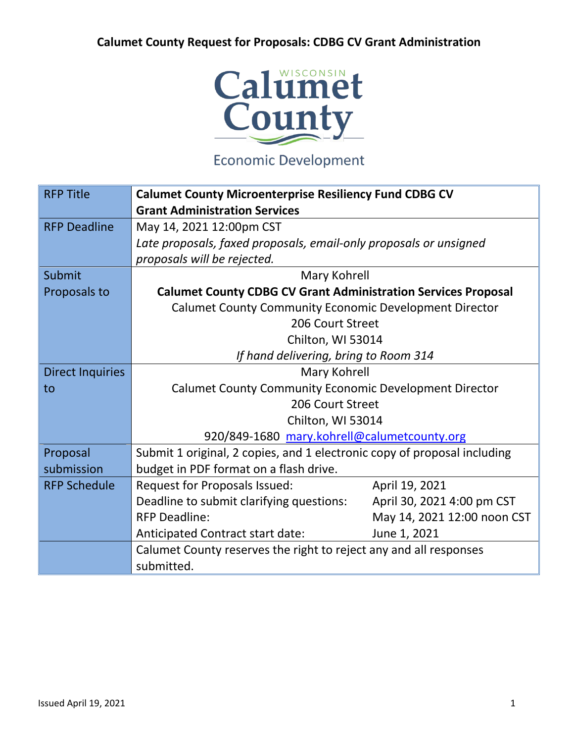

## **Economic Development**

| <b>RFP Title</b>        | <b>Calumet County Microenterprise Resiliency Fund CDBG CV</b>            |  |  |
|-------------------------|--------------------------------------------------------------------------|--|--|
|                         | <b>Grant Administration Services</b>                                     |  |  |
| <b>RFP Deadline</b>     | May 14, 2021 12:00pm CST                                                 |  |  |
|                         | Late proposals, faxed proposals, email-only proposals or unsigned        |  |  |
|                         | proposals will be rejected.                                              |  |  |
| Submit                  | Mary Kohrell                                                             |  |  |
| Proposals to            | <b>Calumet County CDBG CV Grant Administration Services Proposal</b>     |  |  |
|                         | <b>Calumet County Community Economic Development Director</b>            |  |  |
|                         | 206 Court Street                                                         |  |  |
|                         | Chilton, WI 53014                                                        |  |  |
|                         | If hand delivering, bring to Room 314                                    |  |  |
| <b>Direct Inquiries</b> | Mary Kohrell                                                             |  |  |
| to                      | <b>Calumet County Community Economic Development Director</b>            |  |  |
|                         | 206 Court Street                                                         |  |  |
|                         | Chilton, WI 53014                                                        |  |  |
|                         | 920/849-1680 mary.kohrell@calumetcounty.org                              |  |  |
| Proposal                | Submit 1 original, 2 copies, and 1 electronic copy of proposal including |  |  |
| submission              | budget in PDF format on a flash drive.                                   |  |  |
| <b>RFP Schedule</b>     | <b>Request for Proposals Issued:</b><br>April 19, 2021                   |  |  |
|                         | Deadline to submit clarifying questions:<br>April 30, 2021 4:00 pm CST   |  |  |
|                         | <b>RFP Deadline:</b><br>May 14, 2021 12:00 noon CST                      |  |  |
|                         | June 1, 2021<br>Anticipated Contract start date:                         |  |  |
|                         | Calumet County reserves the right to reject any and all responses        |  |  |
|                         | submitted.                                                               |  |  |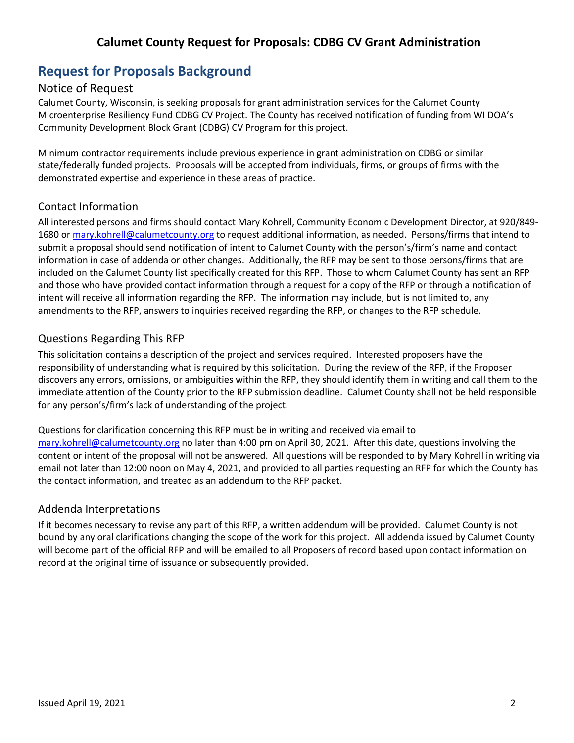## **Request for Proposals Background**

### Notice of Request

Calumet County, Wisconsin, is seeking proposals for grant administration services for the Calumet County Microenterprise Resiliency Fund CDBG CV Project. The County has received notification of funding from WI DOA's Community Development Block Grant (CDBG) CV Program for this project.

Minimum contractor requirements include previous experience in grant administration on CDBG or similar state/federally funded projects. Proposals will be accepted from individuals, firms, or groups of firms with the demonstrated expertise and experience in these areas of practice.

#### Contact Information

All interested persons and firms should contact Mary Kohrell, Community Economic Development Director, at 920/849- 1680 o[r mary.kohrell@calumetcounty.org](mailto:mary.kohrell@calumetcounty.org) to request additional information, as needed. Persons/firms that intend to submit a proposal should send notification of intent to Calumet County with the person's/firm's name and contact information in case of addenda or other changes. Additionally, the RFP may be sent to those persons/firms that are included on the Calumet County list specifically created for this RFP. Those to whom Calumet County has sent an RFP and those who have provided contact information through a request for a copy of the RFP or through a notification of intent will receive all information regarding the RFP. The information may include, but is not limited to, any amendments to the RFP, answers to inquiries received regarding the RFP, or changes to the RFP schedule.

#### Questions Regarding This RFP

This solicitation contains a description of the project and services required. Interested proposers have the responsibility of understanding what is required by this solicitation. During the review of the RFP, if the Proposer discovers any errors, omissions, or ambiguities within the RFP, they should identify them in writing and call them to the immediate attention of the County prior to the RFP submission deadline. Calumet County shall not be held responsible for any person's/firm's lack of understanding of the project.

Questions for clarification concerning this RFP must be in writing and received via email to [mary.kohrell@calumetcounty.org](mailto:mary.kohrell@calumetcounty.org) no later than 4:00 pm on April 30, 2021. After this date, questions involving the content or intent of the proposal will not be answered. All questions will be responded to by Mary Kohrell in writing via email not later than 12:00 noon on May 4, 2021, and provided to all parties requesting an RFP for which the County has the contact information, and treated as an addendum to the RFP packet.

### Addenda Interpretations

If it becomes necessary to revise any part of this RFP, a written addendum will be provided. Calumet County is not bound by any oral clarifications changing the scope of the work for this project. All addenda issued by Calumet County will become part of the official RFP and will be emailed to all Proposers of record based upon contact information on record at the original time of issuance or subsequently provided.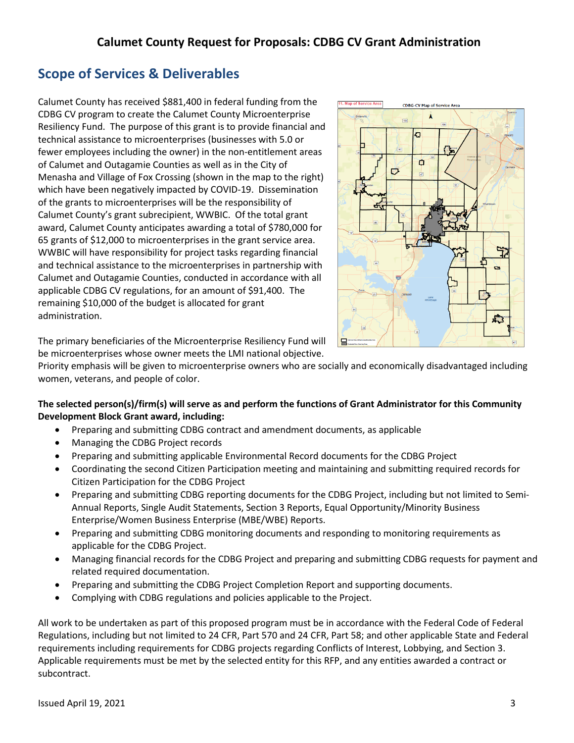## **Scope of Services & Deliverables**

Calumet County has received \$881,400 in federal funding from the CDBG CV program to create the Calumet County Microenterprise Resiliency Fund. The purpose of this grant is to provide financial and technical assistance to microenterprises (businesses with 5.0 or fewer employees including the owner) in the non-entitlement areas of Calumet and Outagamie Counties as well as in the City of Menasha and Village of Fox Crossing (shown in the map to the right) which have been negatively impacted by COVID-19. Dissemination of the grants to microenterprises will be the responsibility of Calumet County's grant subrecipient, WWBIC. Of the total grant award, Calumet County anticipates awarding a total of \$780,000 for 65 grants of \$12,000 to microenterprises in the grant service area. WWBIC will have responsibility for project tasks regarding financial and technical assistance to the microenterprises in partnership with Calumet and Outagamie Counties, conducted in accordance with all applicable CDBG CV regulations, for an amount of \$91,400. The remaining \$10,000 of the budget is allocated for grant administration.



The primary beneficiaries of the Microenterprise Resiliency Fund will be microenterprises whose owner meets the LMI national objective.

Priority emphasis will be given to microenterprise owners who are socially and economically disadvantaged including women, veterans, and people of color.

#### **The selected person(s)/firm(s) will serve as and perform the functions of Grant Administrator for this Community Development Block Grant award, including:**

- Preparing and submitting CDBG contract and amendment documents, as applicable
- Managing the CDBG Project records
- Preparing and submitting applicable Environmental Record documents for the CDBG Project
- Coordinating the second Citizen Participation meeting and maintaining and submitting required records for Citizen Participation for the CDBG Project
- Preparing and submitting CDBG reporting documents for the CDBG Project, including but not limited to Semi-Annual Reports, Single Audit Statements, Section 3 Reports, Equal Opportunity/Minority Business Enterprise/Women Business Enterprise (MBE/WBE) Reports.
- Preparing and submitting CDBG monitoring documents and responding to monitoring requirements as applicable for the CDBG Project.
- Managing financial records for the CDBG Project and preparing and submitting CDBG requests for payment and related required documentation.
- Preparing and submitting the CDBG Project Completion Report and supporting documents.
- Complying with CDBG regulations and policies applicable to the Project.

All work to be undertaken as part of this proposed program must be in accordance with the Federal Code of Federal Regulations, including but not limited to 24 CFR, Part 570 and 24 CFR, Part 58; and other applicable State and Federal requirements including requirements for CDBG projects regarding Conflicts of Interest, Lobbying, and Section 3. Applicable requirements must be met by the selected entity for this RFP, and any entities awarded a contract or subcontract.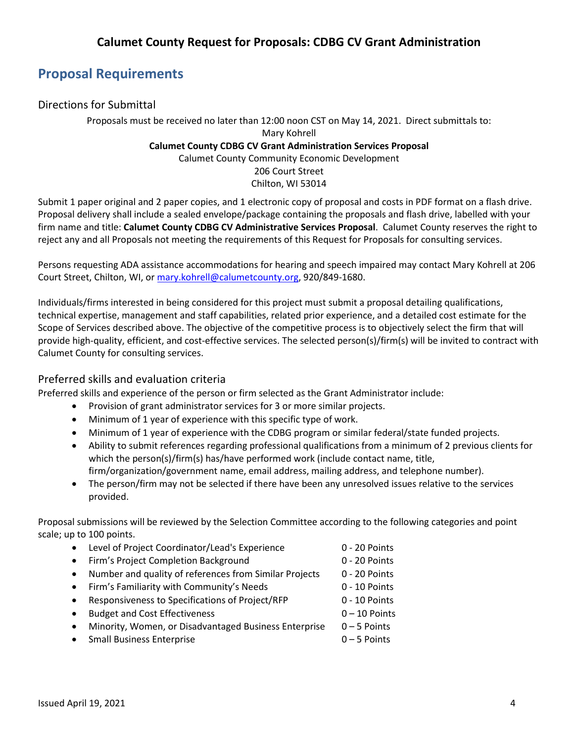## **Proposal Requirements**

### Directions for Submittal

Proposals must be received no later than 12:00 noon CST on May 14, 2021. Direct submittals to: Mary Kohrell **Calumet County CDBG CV Grant Administration Services Proposal** Calumet County Community Economic Development 206 Court Street Chilton, WI 53014

Submit 1 paper original and 2 paper copies, and 1 electronic copy of proposal and costs in PDF format on a flash drive. Proposal delivery shall include a sealed envelope/package containing the proposals and flash drive, labelled with your firm name and title: **Calumet County CDBG CV Administrative Services Proposal**. Calumet County reserves the right to reject any and all Proposals not meeting the requirements of this Request for Proposals for consulting services.

Persons requesting ADA assistance accommodations for hearing and speech impaired may contact Mary Kohrell at 206 Court Street, Chilton, WI, o[r mary.kohrell@calumetcounty.org,](mailto:mary.kohrell@calumetcounty.org) 920/849-1680.

Individuals/firms interested in being considered for this project must submit a proposal detailing qualifications, technical expertise, management and staff capabilities, related prior experience, and a detailed cost estimate for the Scope of Services described above. The objective of the competitive process is to objectively select the firm that will provide high-quality, efficient, and cost-effective services. The selected person(s)/firm(s) will be invited to contract with Calumet County for consulting services.

#### Preferred skills and evaluation criteria

Preferred skills and experience of the person or firm selected as the Grant Administrator include:

- Provision of grant administrator services for 3 or more similar projects.
- Minimum of 1 year of experience with this specific type of work.
- Minimum of 1 year of experience with the CDBG program or similar federal/state funded projects.
- Ability to submit references regarding professional qualifications from a minimum of 2 previous clients for which the person(s)/firm(s) has/have performed work (include contact name, title, firm/organization/government name, email address, mailing address, and telephone number).
- The person/firm may not be selected if there have been any unresolved issues relative to the services provided.

Proposal submissions will be reviewed by the Selection Committee according to the following categories and point scale; up to 100 points.

- Level of Project Coordinator/Lead's Experience 0 20 Points
- Firm's Project Completion Background 0 20 Points
- Number and quality of references from Similar Projects 0 20 Points
- Firm's Familiarity with Community's Needs 0 10 Points
- Responsiveness to Specifications of Project/RFP 0 10 Points
- Budget and Cost Effectiveness 0 10 Points
- Minority, Women, or Disadvantaged Business Enterprise 0-5 Points
- Small Business Enterprise 0 5 Points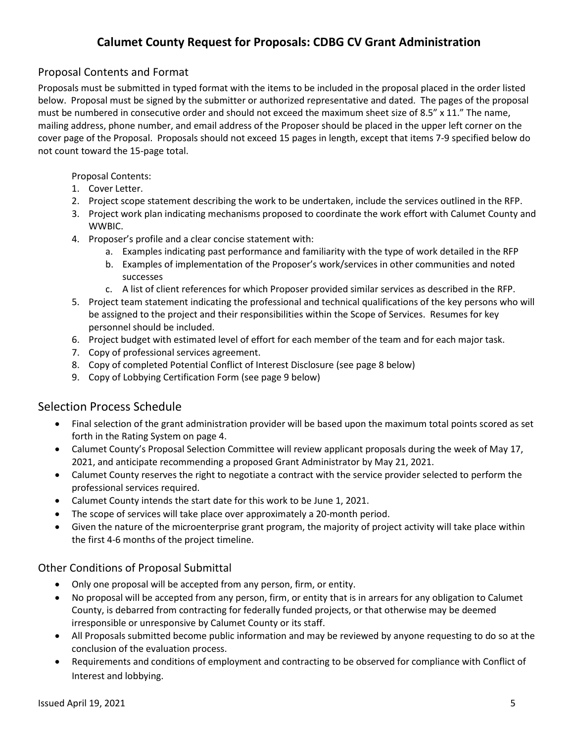## Proposal Contents and Format

Proposals must be submitted in typed format with the items to be included in the proposal placed in the order listed below. Proposal must be signed by the submitter or authorized representative and dated. The pages of the proposal must be numbered in consecutive order and should not exceed the maximum sheet size of 8.5" x 11." The name, mailing address, phone number, and email address of the Proposer should be placed in the upper left corner on the cover page of the Proposal. Proposals should not exceed 15 pages in length, except that items 7-9 specified below do not count toward the 15-page total.

Proposal Contents:

- 1. Cover Letter.
- 2. Project scope statement describing the work to be undertaken, include the services outlined in the RFP.
- 3. Project work plan indicating mechanisms proposed to coordinate the work effort with Calumet County and WWBIC.
- 4. Proposer's profile and a clear concise statement with:
	- a. Examples indicating past performance and familiarity with the type of work detailed in the RFP
	- b. Examples of implementation of the Proposer's work/services in other communities and noted successes
	- c. A list of client references for which Proposer provided similar services as described in the RFP.
- 5. Project team statement indicating the professional and technical qualifications of the key persons who will be assigned to the project and their responsibilities within the Scope of Services. Resumes for key personnel should be included.
- 6. Project budget with estimated level of effort for each member of the team and for each major task.
- 7. Copy of professional services agreement.
- 8. Copy of completed Potential Conflict of Interest Disclosure (see page 8 below)
- 9. Copy of Lobbying Certification Form (see page 9 below)

### Selection Process Schedule

- Final selection of the grant administration provider will be based upon the maximum total points scored as set forth in the Rating System on page 4.
- Calumet County's Proposal Selection Committee will review applicant proposals during the week of May 17, 2021, and anticipate recommending a proposed Grant Administrator by May 21, 2021.
- Calumet County reserves the right to negotiate a contract with the service provider selected to perform the professional services required.
- Calumet County intends the start date for this work to be June 1, 2021.
- The scope of services will take place over approximately a 20-month period.
- Given the nature of the microenterprise grant program, the majority of project activity will take place within the first 4-6 months of the project timeline.

#### Other Conditions of Proposal Submittal

- Only one proposal will be accepted from any person, firm, or entity.
- No proposal will be accepted from any person, firm, or entity that is in arrears for any obligation to Calumet County, is debarred from contracting for federally funded projects, or that otherwise may be deemed irresponsible or unresponsive by Calumet County or its staff.
- All Proposals submitted become public information and may be reviewed by anyone requesting to do so at the conclusion of the evaluation process.
- Requirements and conditions of employment and contracting to be observed for compliance with Conflict of Interest and lobbying.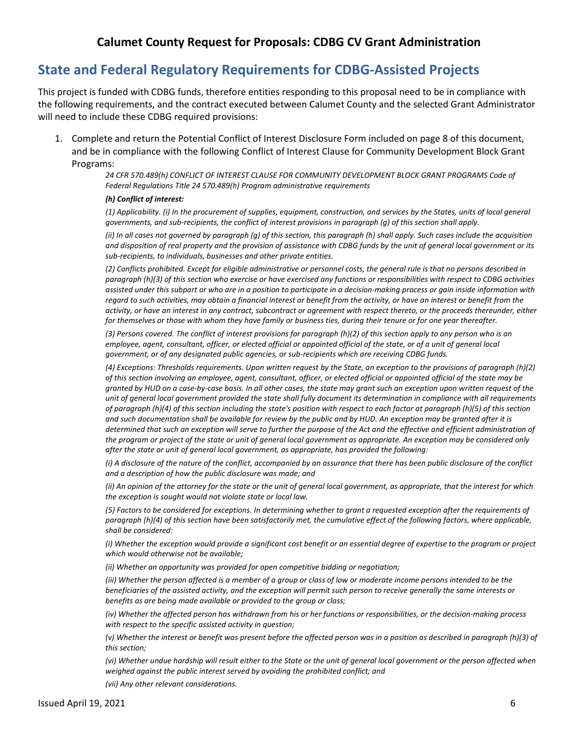## **State and Federal Regulatory Requirements for CDBG-Assisted Projects**

This project is funded with CDBG funds, therefore entities responding to this proposal need to be in compliance with the following requirements, and the contract executed between Calumet County and the selected Grant Administrator will need to include these CDBG required provisions:

1. Complete and return the Potential Conflict of Interest Disclosure Form included on page 8 of this document, and be in compliance with the following Conflict of Interest Clause for Community Development Block Grant Programs:

> *24 CFR 570.489(h) CONFLICT OF INTEREST CLAUSE FOR COMMUNITY DEVELOPMENT BLOCK GRANT PROGRAMS Code of Federal Regulations Title 24 570.489(h) Program administrative requirements*

#### *(h) Conflict of interest:*

*(1) Applicability. (i) In the procurement of supplies, equipment, construction, and services by the States, units of local general governments, and sub-recipients, the conflict of interest provisions in paragraph (g) of this section shall apply.* 

*(ii) In all cases not governed by paragraph (g) of this section, this paragraph (h) shall apply. Such cases include the acquisition and disposition of real property and the provision of assistance with CDBG funds by the unit of general local government or its sub-recipients, to individuals, businesses and other private entities.* 

*(2) Conflicts prohibited. Except for eligible administrative or personnel costs, the general rule is that no persons described in paragraph (h)(3) of this section who exercise or have exercised any functions or responsibilities with respect to CDBG activities assisted under this subpart or who are in a position to participate in a decision-making process or gain inside information with regard to such activities, may obtain a financial interest or benefit from the activity, or have an interest or benefit from the activity, or have an interest in any contract, subcontract or agreement with respect thereto, or the proceeds thereunder, either for themselves or those with whom they have family or business ties, during their tenure or for one year thereafter.* 

*(3) Persons covered. The conflict of interest provisions for paragraph (h)(2) of this section apply to any person who is an employee, agent, consultant, officer, or elected official or appointed official of the state, or of a unit of general local government, or of any designated public agencies, or sub-recipients which are receiving CDBG funds.* 

*(4) Exceptions: Thresholds requirements. Upon written request by the State, an exception to the provisions of paragraph (h)(2) of this section involving an employee, agent, consultant, officer, or elected official or appointed official of the state may be granted by HUD on a case-by-case basis. In all other cases, the state may grant such an exception upon written request of the unit of general local government provided the state shall fully document its determination in compliance with all requirements of paragraph (h)(4) of this section including the state's position with respect to each factor at paragraph (h)(5) of this section and such documentation shall be available for review by the public and by HUD. An exception may be granted after it is determined that such an exception will serve to further the purpose of the Act and the effective and efficient administration of the program or project of the state or unit of general local government as appropriate. An exception may be considered only after the state or unit of general local government, as appropriate, has provided the following:* 

*(i) A disclosure of the nature of the conflict, accompanied by an assurance that there has been public disclosure of the conflict and a description of how the public disclosure was made; and* 

*(ii) An opinion of the attorney for the state or the unit of general local government, as appropriate, that the interest for which the exception is sought would not violate state or local law.* 

*(5) Factors to be considered for exceptions. In determining whether to grant a requested exception after the requirements of*  paragraph (h)(4) of this section have been satisfactorily met, the cumulative effect of the following factors, where applicable, *shall be considered:* 

*(i) Whether the exception would provide a significant cost benefit or an essential degree of expertise to the program or project which would otherwise not be available;* 

*(ii) Whether an opportunity was provided for open competitive bidding or negotiation;* 

*(iii) Whether the person affected is a member of a group or class of low or moderate income persons intended to be the beneficiaries of the assisted activity, and the exception will permit such person to receive generally the same interests or benefits as are being made available or provided to the group or class;* 

*(iv) Whether the affected person has withdrawn from his or her functions or responsibilities, or the decision-making process with respect to the specific assisted activity in question;* 

*(v) Whether the interest or benefit was present before the affected person was in a position as described in paragraph (h)(3) of this section;* 

*(vi) Whether undue hardship will result either to the State or the unit of general local government or the person affected when weighed against the public interest served by avoiding the prohibited conflict; and* 

*(vii) Any other relevant considerations.*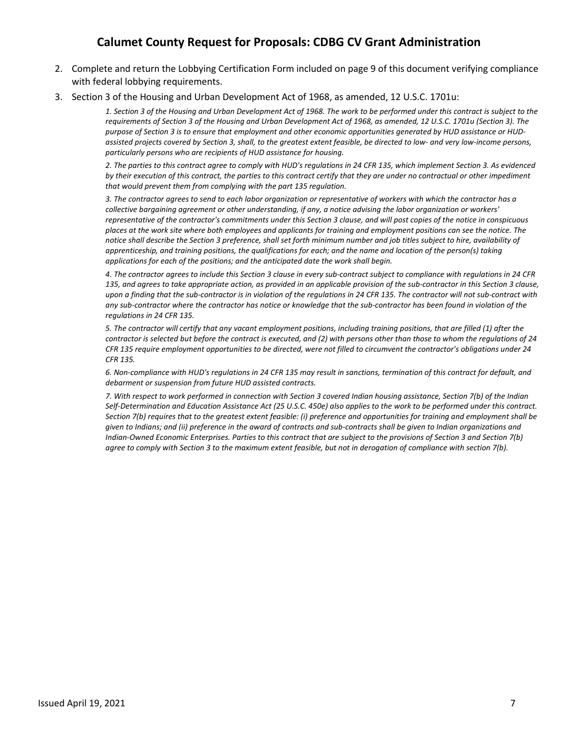- 2. Complete and return the Lobbying Certification Form included on page 9 of this document verifying compliance with federal lobbying requirements.
- 3. Section 3 of the Housing and Urban Development Act of 1968, as amended, 12 U.S.C. 1701u:

*1. Section 3 of the Housing and Urban Development Act of 1968. The work to be performed under this contract is subject to the requirements of Section 3 of the Housing and Urban Development Act of 1968, as amended, 12 U.S.C. 1701u (Section 3). The purpose of Section 3 is to ensure that employment and other economic opportunities generated by HUD assistance or HUDassisted projects covered by Section 3, shall, to the greatest extent feasible, be directed to low- and very low-income persons, particularly persons who are recipients of HUD assistance for housing.* 

*2. The parties to this contract agree to comply with HUD's regulations in 24 CFR 135, which implement Section 3. As evidenced by their execution of this contract, the parties to this contract certify that they are under no contractual or other impediment that would prevent them from complying with the part 135 regulation.* 

*3. The contractor agrees to send to each labor organization or representative of workers with which the contractor has a collective bargaining agreement or other understanding, if any, a notice advising the labor organization or workers' representative of the contractor's commitments under this Section 3 clause, and will post copies of the notice in conspicuous places at the work site where both employees and applicants for training and employment positions can see the notice. The notice shall describe the Section 3 preference, shall set forth minimum number and job titles subject to hire, availability of apprenticeship, and training positions, the qualifications for each; and the name and location of the person(s) taking applications for each of the positions; and the anticipated date the work shall begin.* 

*4. The contractor agrees to include this Section 3 clause in every sub-contract subject to compliance with regulations in 24 CFR 135, and agrees to take appropriate action, as provided in an applicable provision of the sub-contractor in this Section 3 clause, upon a finding that the sub-contractor is in violation of the regulations in 24 CFR 135. The contractor will not sub-contract with any sub-contractor where the contractor has notice or knowledge that the sub-contractor has been found in violation of the regulations in 24 CFR 135.* 

*5. The contractor will certify that any vacant employment positions, including training positions, that are filled (1) after the contractor is selected but before the contract is executed, and (2) with persons other than those to whom the regulations of 24 CFR 135 require employment opportunities to be directed, were not filled to circumvent the contractor's obligations under 24 CFR 135.* 

*6. Non-compliance with HUD's regulations in 24 CFR 135 may result in sanctions, termination of this contract for default, and debarment or suspension from future HUD assisted contracts.* 

*7. With respect to work performed in connection with Section 3 covered Indian housing assistance, Section 7(b) of the Indian Self-Determination and Education Assistance Act (25 U.S.C. 450e) also applies to the work to be performed under this contract. Section 7(b) requires that to the greatest extent feasible: (i) preference and opportunities for training and employment shall be given to Indians; and (ii) preference in the award of contracts and sub-contracts shall be given to Indian organizations and Indian-Owned Economic Enterprises. Parties to this contract that are subject to the provisions of Section 3 and Section 7(b) agree to comply with Section 3 to the maximum extent feasible, but not in derogation of compliance with section 7(b).*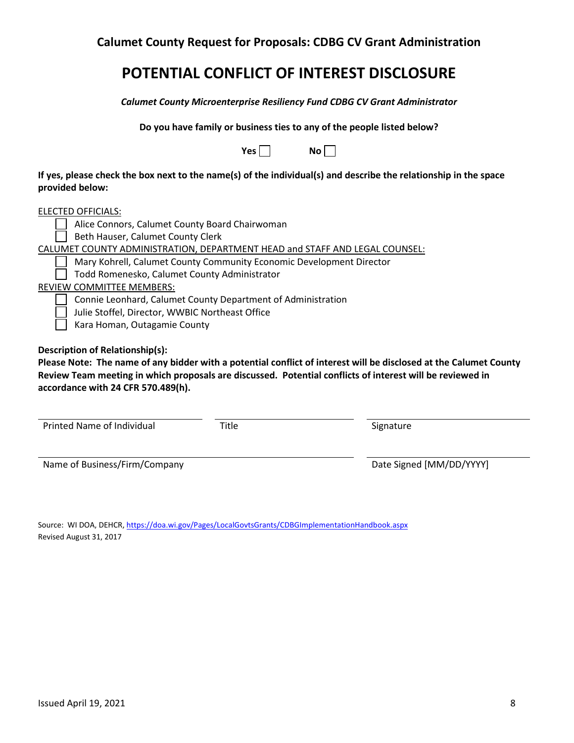## **POTENTIAL CONFLICT OF INTEREST DISCLOSURE**

*Calumet County Microenterprise Resiliency Fund CDBG CV Grant Administrator*

**Do you have family or business ties to any of the people listed below?**

| Nο<br>Yes |  |
|-----------|--|
|-----------|--|

**If yes, please check the box next to the name(s) of the individual(s) and describe the relationship in the space provided below:**

| ELECTED OFFICIALS:                                                          |
|-----------------------------------------------------------------------------|
| Alice Connors, Calumet County Board Chairwoman                              |
| Beth Hauser, Calumet County Clerk                                           |
| CALUMET COUNTY ADMINISTRATION, DEPARTMENT HEAD and STAFF AND LEGAL COUNSEL: |
| Mary Kohrell, Calumet County Community Economic Development Director        |
| Todd Romenesko, Calumet County Administrator                                |
| <b>REVIEW COMMITTEE MEMBERS:</b>                                            |

Connie Leonhard, Calumet County Department of Administration

Julie Stoffel, Director, WWBIC Northeast Office

Kara Homan, Outagamie County

**Description of Relationship(s):**

**Please Note: The name of any bidder with a potential conflict of interest will be disclosed at the Calumet County Review Team meeting in which proposals are discussed. Potential conflicts of interest will be reviewed in accordance with 24 CFR 570.489(h).** 

| Printed Name of Individual | Title | Signature |
|----------------------------|-------|-----------|
|                            |       |           |

Name of Business/Firm/Company discussed by Date Signed [MM/DD/YYYY]

Source: WI DOA, DEHCR,<https://doa.wi.gov/Pages/LocalGovtsGrants/CDBGImplementationHandbook.aspx> Revised August 31, 2017